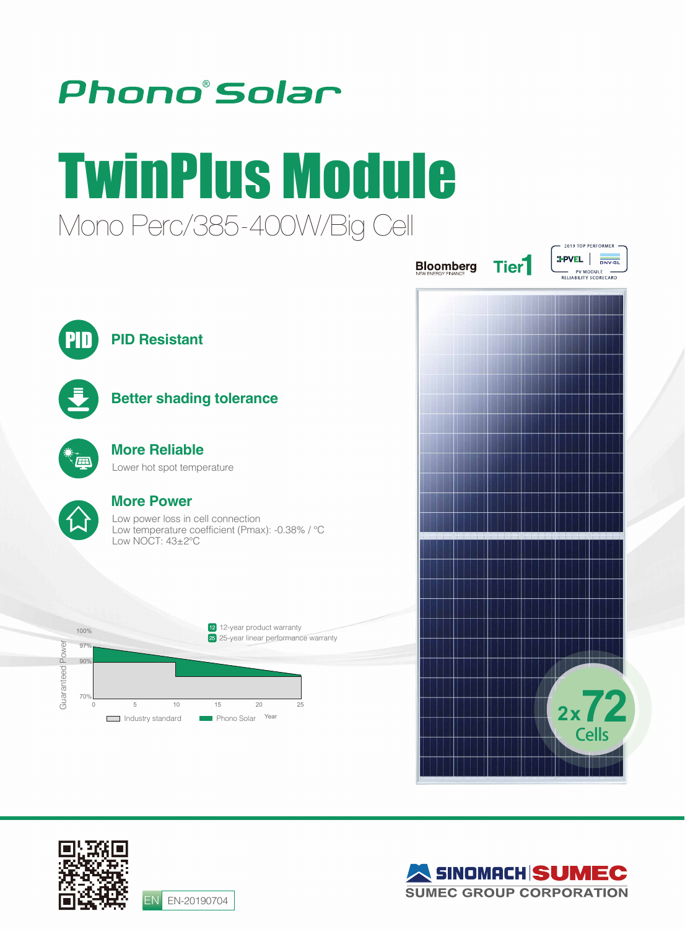

## TwinPlus Module Mono Perc/385-400W/Big Cell